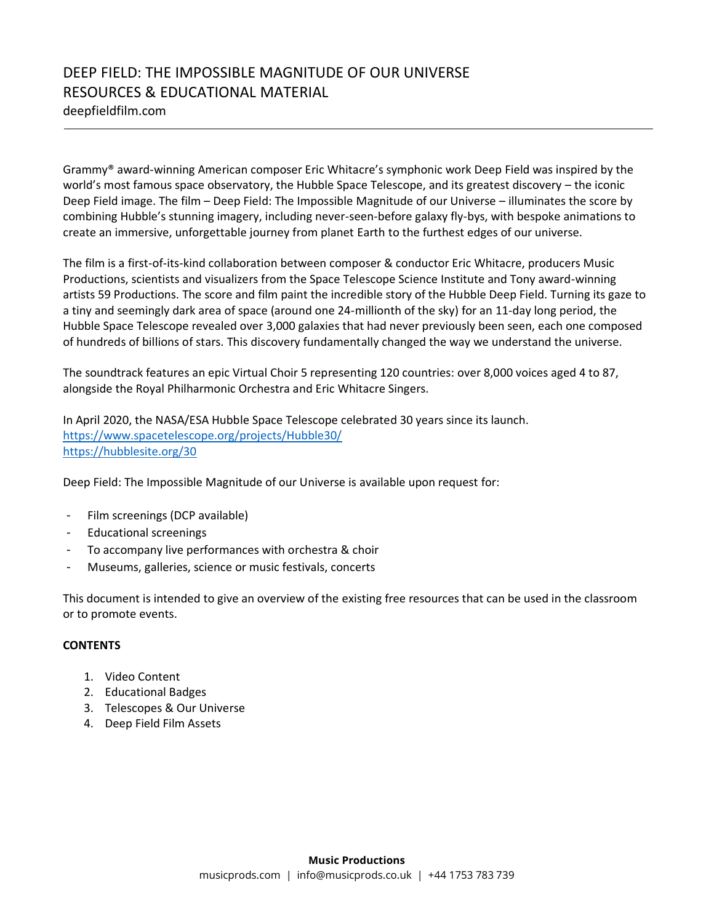deepfieldfilm.com

Grammy® award-winning American composer Eric Whitacre's symphonic work Deep Field was inspired by the world's most famous space observatory, the Hubble Space Telescope, and its greatest discovery – the iconic Deep Field image. The film – Deep Field: The Impossible Magnitude of our Universe – illuminates the score by combining Hubble's stunning imagery, including never-seen-before galaxy fly-bys, with bespoke animations to create an immersive, unforgettable journey from planet Earth to the furthest edges of our universe.

The film is a first-of-its-kind collaboration between composer & conductor Eric Whitacre, producers Music Productions, scientists and visualizers from the Space Telescope Science Institute and Tony award-winning artists 59 Productions. The score and film paint the incredible story of the Hubble Deep Field. Turning its gaze to a tiny and seemingly dark area of space (around one 24-millionth of the sky) for an 11-day long period, the Hubble Space Telescope revealed over 3,000 galaxies that had never previously been seen, each one composed of hundreds of billions of stars. This discovery fundamentally changed the way we understand the universe.

The soundtrack features an epic Virtual Choir 5 representing 120 countries: over 8,000 voices aged 4 to 87, alongside the Royal Philharmonic Orchestra and Eric Whitacre Singers.

In April 2020, the NASA/ESA Hubble Space Telescope celebrated 30 years since its launch. <https://www.spacetelescope.org/projects/Hubble30/> <https://hubblesite.org/30>

Deep Field: The Impossible Magnitude of our Universe is available upon request for:

- Film screenings (DCP available)
- Educational screenings
- To accompany live performances with orchestra & choir
- Museums, galleries, science or music festivals, concerts

This document is intended to give an overview of the existing free resources that can be used in the classroom or to promote events.

#### **CONTENTS**

- 1. Video Content
- 2. Educational Badges
- 3. Telescopes & Our Universe
- 4. Deep Field Film Assets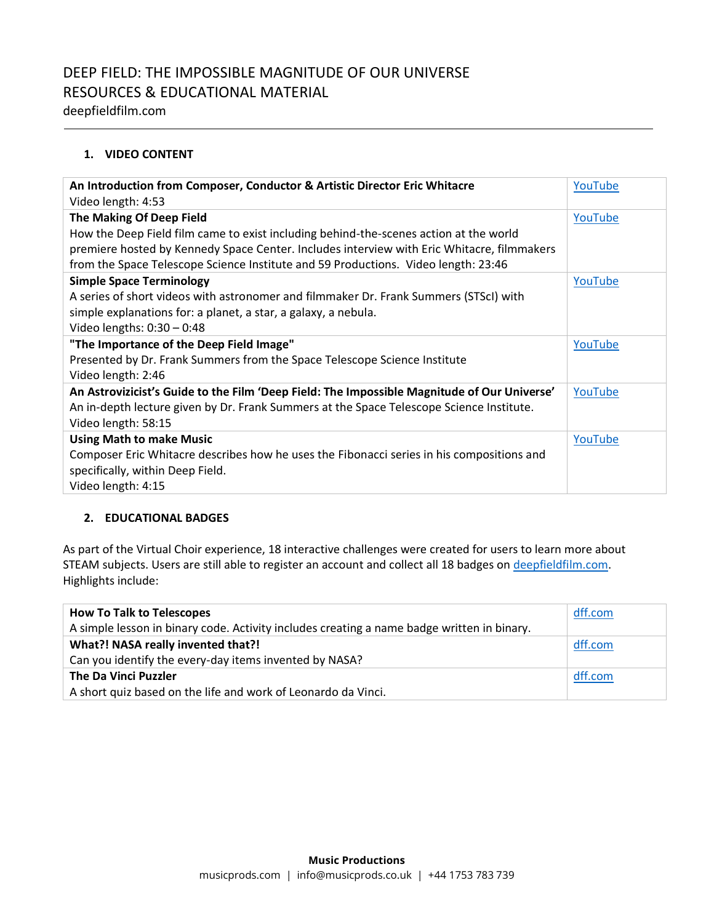deepfieldfilm.com

### **1. VIDEO CONTENT**

| An Introduction from Composer, Conductor & Artistic Director Eric Whitacre                  | YouTube |
|---------------------------------------------------------------------------------------------|---------|
| Video length: 4:53                                                                          |         |
| The Making Of Deep Field                                                                    | YouTube |
| How the Deep Field film came to exist including behind-the-scenes action at the world       |         |
| premiere hosted by Kennedy Space Center. Includes interview with Eric Whitacre, filmmakers  |         |
| from the Space Telescope Science Institute and 59 Productions. Video length: 23:46          |         |
| <b>Simple Space Terminology</b>                                                             | YouTube |
| A series of short videos with astronomer and filmmaker Dr. Frank Summers (STScI) with       |         |
| simple explanations for: a planet, a star, a galaxy, a nebula.                              |         |
| Video lengths: $0:30 - 0:48$                                                                |         |
| "The Importance of the Deep Field Image"                                                    | YouTube |
| Presented by Dr. Frank Summers from the Space Telescope Science Institute                   |         |
| Video length: 2:46                                                                          |         |
| An Astrovizicist's Guide to the Film 'Deep Field: The Impossible Magnitude of Our Universe' | YouTube |
| An in-depth lecture given by Dr. Frank Summers at the Space Telescope Science Institute.    |         |
| Video length: 58:15                                                                         |         |
| <b>Using Math to make Music</b>                                                             | YouTube |
| Composer Eric Whitacre describes how he uses the Fibonacci series in his compositions and   |         |
| specifically, within Deep Field.                                                            |         |
| Video length: 4:15                                                                          |         |

#### **2. EDUCATIONAL BADGES**

As part of the Virtual Choir experience, 18 interactive challenges were created for users to learn more about STEAM subjects. Users are still able to register an account and collect all 18 badges on [deepfieldfilm.com.](https://deepfieldfilm.com/badges) Highlights include:

| dff.com |
|---------|
|         |
| dff.com |
|         |
| dff.com |
|         |
|         |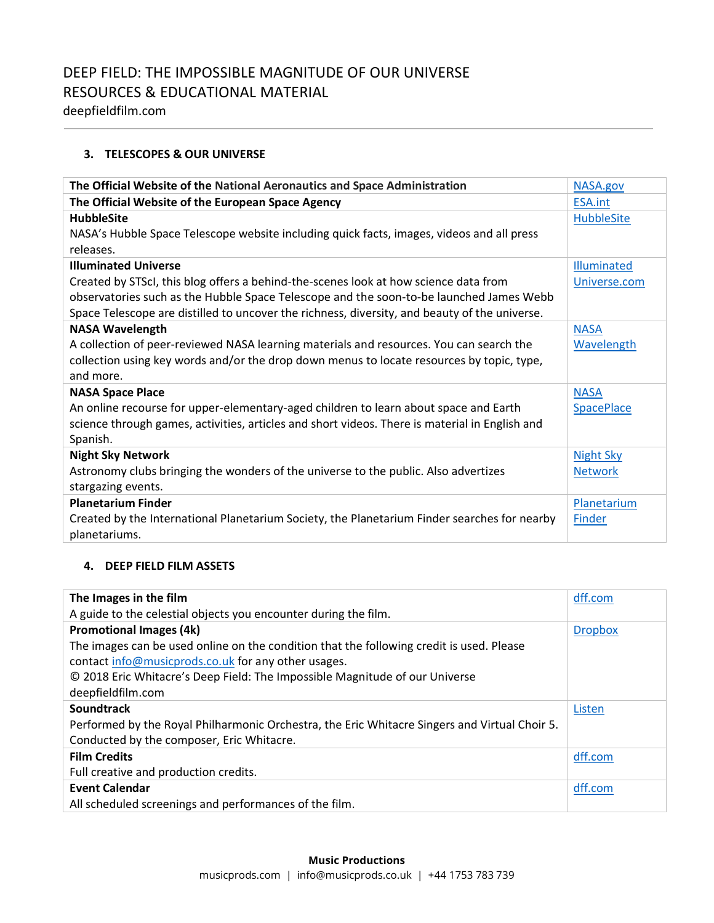deepfieldfilm.com

#### **3. TELESCOPES & OUR UNIVERSE**

| The Official Website of the National Aeronautics and Space Administration                      | NASA.gov           |
|------------------------------------------------------------------------------------------------|--------------------|
| The Official Website of the European Space Agency                                              | <b>ESA.int</b>     |
| <b>HubbleSite</b>                                                                              | <b>HubbleSite</b>  |
| NASA's Hubble Space Telescope website including quick facts, images, videos and all press      |                    |
| releases.                                                                                      |                    |
| <b>Illuminated Universe</b>                                                                    | <b>Illuminated</b> |
| Created by STScI, this blog offers a behind-the-scenes look at how science data from           | Universe.com       |
| observatories such as the Hubble Space Telescope and the soon-to-be launched James Webb        |                    |
| Space Telescope are distilled to uncover the richness, diversity, and beauty of the universe.  |                    |
| <b>NASA Wavelength</b>                                                                         | <b>NASA</b>        |
| A collection of peer-reviewed NASA learning materials and resources. You can search the        | Wavelength         |
| collection using key words and/or the drop down menus to locate resources by topic, type,      |                    |
| and more.                                                                                      |                    |
| <b>NASA Space Place</b>                                                                        | <b>NASA</b>        |
| An online recourse for upper-elementary-aged children to learn about space and Earth           | <b>SpacePlace</b>  |
| science through games, activities, articles and short videos. There is material in English and |                    |
| Spanish.                                                                                       |                    |
| <b>Night Sky Network</b>                                                                       | <b>Night Sky</b>   |
| Astronomy clubs bringing the wonders of the universe to the public. Also advertizes            | <b>Network</b>     |
| stargazing events.                                                                             |                    |
| <b>Planetarium Finder</b>                                                                      | Planetarium        |
| Created by the International Planetarium Society, the Planetarium Finder searches for nearby   | Finder             |
| planetariums.                                                                                  |                    |

#### **4. DEEP FIELD FILM ASSETS**

| The Images in the film                                                                        | dff.com        |
|-----------------------------------------------------------------------------------------------|----------------|
| A guide to the celestial objects you encounter during the film.                               |                |
| <b>Promotional Images (4k)</b>                                                                | <b>Dropbox</b> |
| The images can be used online on the condition that the following credit is used. Please      |                |
| contact info@musicprods.co.uk for any other usages.                                           |                |
| © 2018 Eric Whitacre's Deep Field: The Impossible Magnitude of our Universe                   |                |
| deepfieldfilm.com                                                                             |                |
| <b>Soundtrack</b>                                                                             | Listen         |
| Performed by the Royal Philharmonic Orchestra, the Eric Whitacre Singers and Virtual Choir 5. |                |
| Conducted by the composer, Eric Whitacre.                                                     |                |
| <b>Film Credits</b>                                                                           | dff.com        |
| Full creative and production credits.                                                         |                |
| <b>Event Calendar</b>                                                                         | dff.com        |
| All scheduled screenings and performances of the film.                                        |                |